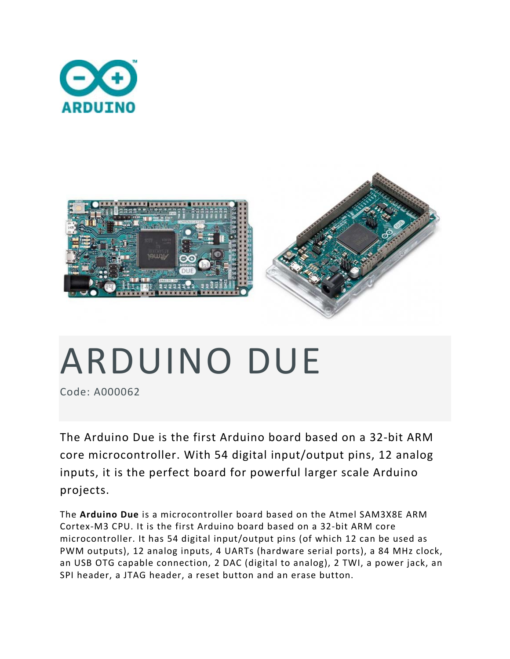



# ARDUINO DUE

Code: A000062

The Arduino Due is the first Arduino board based on a 32‐bit ARM core microcontroller. With 54 digital input/output pins, 12 analog inputs, it is the perfect board for powerful larger scale Arduino projects.

The **Arduino Due** is a microcontroller board based on the Atmel SAM3X8E ARM Cortex‐M3 CPU. It is the first Arduino board based on a 32‐bit ARM core microcontroller. It has 54 digital input/output pins (of which 12 can be used as PWM outputs), 12 analog inputs, 4 UARTs (hardware serial ports), a 84 MHz clock, an USB OTG capable connection, 2 DAC (digital to analog), 2 TWI, a power jack, an SPI header, a JTAG header, a reset button and an erase button.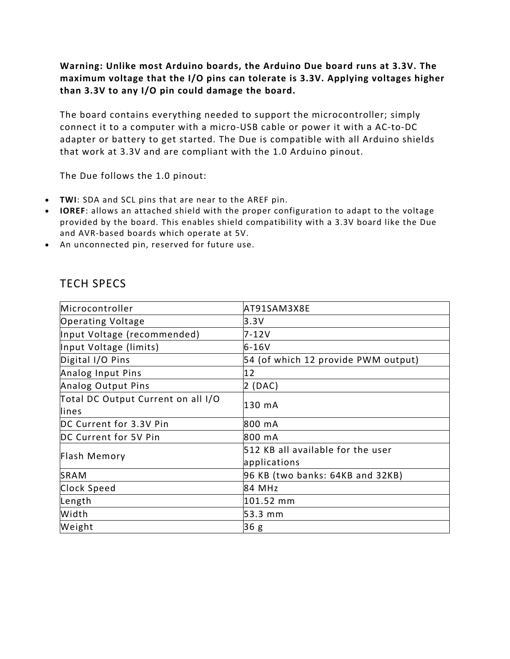**Warning: Unlike most Arduino boards, the Arduino Due board runs at 3.3V. The maximum voltage that the I/O pins can tolerate is 3.3V. Applying voltages higher than 3.3V to any I/O pin could damage the board.**

The board contains everything needed to support the microcontroller; simply connect it to a computer with a micro‐USB cable or power it with a AC‐to‐DC adapter or battery to get started. The Due is compatible with all Arduino shields that work at 3.3V and are compliant with the 1.0 Arduino pinout.

The Due follows the 1.0 pinout:

- **TWI**: SDA and SCL pins that are near to the AREF pin.
- **IOREF**: allows an attached shield with the proper configuration to adapt to the voltage provided by the board. This enables shield compatibility with a 3.3V board like the Due and AVR‐based boards which operate at 5V.
- An unconnected pin, reserved for future use.

### TECH SPECS

| Microcontroller                    | AT91SAM3X8E                         |
|------------------------------------|-------------------------------------|
| <b>Operating Voltage</b>           | 3.3V                                |
| Input Voltage (recommended)        | $7 - 12V$                           |
| Input Voltage (limits)             | $6 - 16V$                           |
| Digital I/O Pins                   | 54 (of which 12 provide PWM output) |
| Analog Input Pins                  | 12                                  |
| Analog Output Pins                 | 2 (DAC)                             |
| Total DC Output Current on all I/O | 130 mA                              |
| lines                              |                                     |
| DC Current for 3.3V Pin            | 800 mA                              |
| DC Current for 5V Pin              | 800 mA                              |
| Flash Memory                       | 512 KB all available for the user   |
|                                    | applications                        |
| <b>SRAM</b>                        | 96 KB (two banks: 64KB and 32KB)    |
| Clock Speed                        | 84 MHz                              |
| Length                             | 101.52 mm                           |
| Width                              | 53.3 mm                             |
| Weight                             | 36g                                 |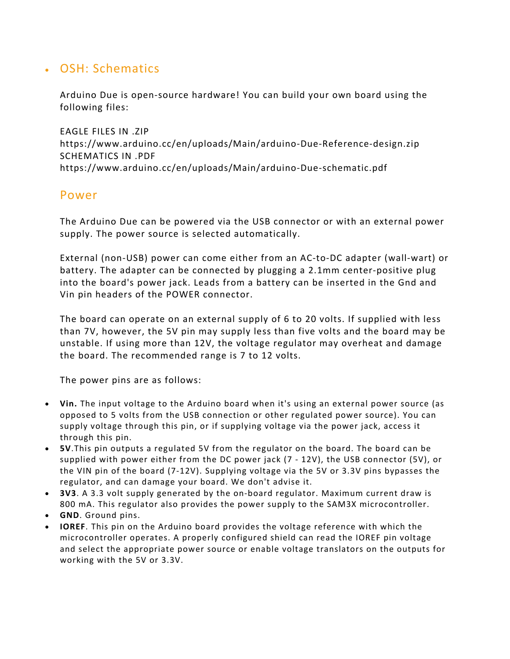## OSH: Schematics

Arduino Due is open‐source hardware! You can build your own board using the following files:

EAGLE FILES IN .ZIP https://www.arduino.cc/en/uploads/Main/arduino‐Due‐Reference‐design.zip SCHEMATICS IN .PDF https://www.arduino.cc/en/uploads/Main/arduino‐Due‐schematic.pdf

#### Power

The Arduino Due can be powered via the USB connector or with an external power supply. The power source is selected automatically.

External (non‐USB) power can come either from an AC‐to‐DC adapter (wall‐wart) or battery. The adapter can be connected by plugging a 2.1mm center‐positive plug into the board's power jack. Leads from a battery can be inserted in the Gnd and Vin pin headers of the POWER connector.

The board can operate on an external supply of 6 to 20 volts. If supplied with less than 7V, however, the 5V pin may supply less than five volts and the board may be unstable. If using more than 12V, the voltage regulator may overheat and damage the board. The recommended range is 7 to 12 volts.

The power pins are as follows:

- **Vin.** The input voltage to the Arduino board when it's using an external power source (as opposed to 5 volts from the USB connection or other regulated power source). You can supply voltage through this pin, or if supplying voltage via the power jack, access it through this pin.
- **5V**.This pin outputs a regulated 5V from the regulator on the board. The board can be supplied with power either from the DC power jack (7 - 12V), the USB connector (5V), or the VIN pin of the board (7‐12V). Supplying voltage via the 5V or 3.3V pins bypasses the regulator, and can damage your board. We don't advise it.
- **3V3**. A 3.3 volt supply generated by the on‐board regulator. Maximum current draw is 800 mA. This regulator also provides the power supply to the SAM3X microcontroller.
- **GND**. Ground pins.
- **IOREF**. This pin on the Arduino board provides the voltage reference with which the microcontroller operates. A properly configured shield can read the IOREF pin voltage and select the appropriate power source or enable voltage translators on the outputs for working with the 5V or 3.3V.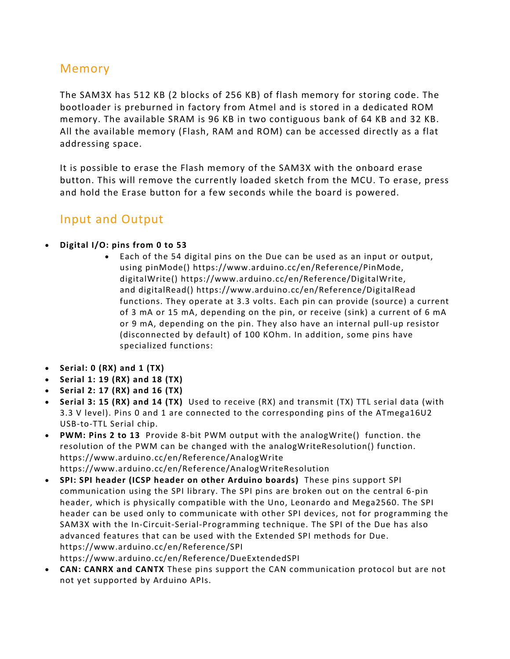## Memory

The SAM3X has 512 KB (2 blocks of 256 KB) of flash memory for storing code. The bootloader is preburned in factory from Atmel and is stored in a dedicated ROM memory. The available SRAM is 96 KB in two contiguous bank of 64 KB and 32 KB. All the available memory (Flash, RAM and ROM) can be accessed directly as a flat addressing space.

It is possible to erase the Flash memory of the SAM3X with the onboard erase button. This will remove the currently loaded sketch from the MCU. To erase, press and hold the Erase button for a few seconds while the board is powered.

## Input and Output

#### **Digital I/O: pins from 0 to 53**

- Each of the 54 digital pins on the Due can be used as an input or output, using pinMode() https://www.arduino.cc/en/Reference/PinMode, digitalWrite() https://www.arduino.cc/en/Reference/DigitalWrite, and digitalRead() https://www.arduino.cc/en/Reference/DigitalRead functions. They operate at 3.3 volts. Each pin can provide (source) a current of 3 mA or 15 mA, depending on the pin, or receive (sink) a current of 6 mA or 9 mA, depending on the pin. They also have an internal pull-up resistor (disconnected by default) of 100 KOhm. In addition, some pins have specialized functions:
- **Serial: 0 (RX) and 1 (TX)**
- **Serial 1: 19 (RX) and 18 (TX)**
- **Serial 2: 17 (RX) and 16 (TX)**
- **Serial 3: 15 (RX) and 14 (TX)** Used to receive (RX) and transmit (TX) TTL serial data (with 3.3 V level). Pins 0 and 1 are connected to the corresponding pins of the ATmega16U2 USB‐to‐TTL Serial chip.
- **PWM: Pins 2 to 13** Provide 8‐bit PWM output with the analogWrite() function. the resolution of the PWM can be changed with the analogWriteResolution() function. https://www.arduino.cc/en/Reference/AnalogWrite https://www.arduino.cc/en/Reference/AnalogWriteResolution
- **SPI: SPI header (ICSP header on other Arduino boards)** These pins support SPI communication using the SPI library. The SPI pins are broken out on the central 6‐pin header, which is physically compatible with the Uno, Leonardo and Mega2560. The SPI header can be used only to communicate with other SPI devices, not for programming the SAM3X with the In‐Circuit‐Serial‐Programming technique. The SPI of the Due has also advanced features that can be used with the Extended SPI methods for Due. https://www.arduino.cc/en/Reference/SPI https://www.arduino.cc/en/Reference/DueExtendedSPI
- **CAN: CANRX and CANTX** These pins support the CAN communication protocol but are not not yet supported by Arduino APIs.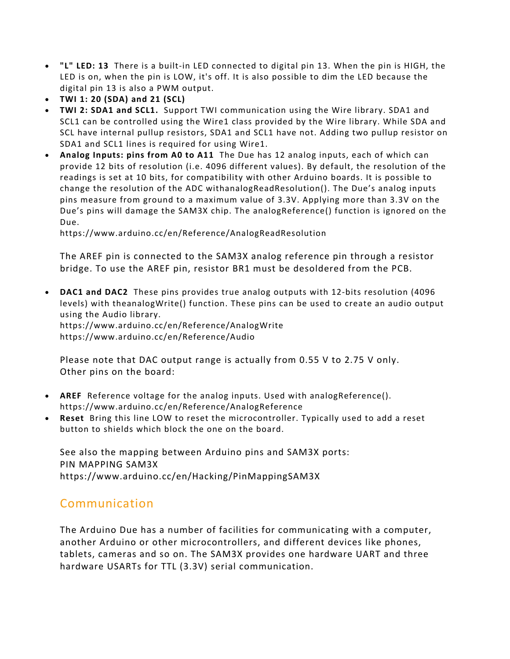- **"L" LED: 13** There is a built‐in LED connected to digital pin 13. When the pin is HIGH, the LED is on, when the pin is LOW, it's off. It is also possible to dim the LED because the digital pin 13 is also a PWM output.
- **TWI 1: 20 (SDA) and 21 (SCL)**
- **TWI 2: SDA1 and SCL1.** Support TWI communication using the Wire library. SDA1 and SCL1 can be controlled using the Wire1 class provided by the Wire library. While SDA and SCL have internal pullup resistors, SDA1 and SCL1 have not. Adding two pullup resistor on SDA1 and SCL1 lines is required for using Wire1.
- **Analog Inputs: pins from A0 to A11** The Due has 12 analog inputs, each of which can provide 12 bits of resolution (i.e. 4096 different values). By default, the resolution of the readings is set at 10 bits, for compatibility with other Arduino boards. It is possible to change the resolution of the ADC withanalogReadResolution(). The Due's analog inputs pins measure from ground to a maximum value of 3.3V. Applying more than 3.3V on the Due's pins will damage the SAM3X chip. The analogReference() function is ignored on the Due.

https://www.arduino.cc/en/Reference/AnalogReadResolution

The AREF pin is connected to the SAM3X analog reference pin through a resistor bridge. To use the AREF pin, resistor BR1 must be desoldered from the PCB.

 **DAC1 and DAC2** These pins provides true analog outputs with 12‐bits resolution (4096 levels) with theanalogWrite() function. These pins can be used to create an audio output using the Audio library.

https://www.arduino.cc/en/Reference/AnalogWrite https://www.arduino.cc/en/Reference/Audio

Please note that DAC output range is actually from 0.55 V to 2.75 V only. Other pins on the board:

- **AREF** Reference voltage for the analog inputs. Used with analogReference(). https://www.arduino.cc/en/Reference/AnalogReference
- **Reset** Bring this line LOW to reset the microcontroller. Typically used to add a reset button to shields which block the one on the board.

See also the mapping between Arduino pins and SAM3X ports: PIN MAPPING SAM3X https://www.arduino.cc/en/Hacking/PinMappingSAM3X

## Communication

The Arduino Due has a number of facilities for communicating with a computer, another Arduino or other microcontrollers, and different devices like phones, tablets, cameras and so on. The SAM3X provides one hardware UART and three hardware USARTs for TTL (3.3V) serial communication.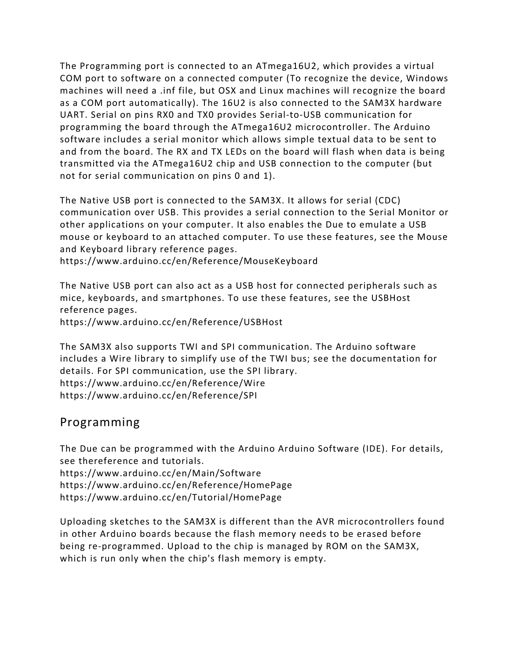The Programming port is connected to an ATmega16U2, which provides a virtual COM port to software on a connected computer (To recognize the device, Windows machines will need a .inf file, but OSX and Linux machines will recognize the board as a COM port automatically). The 16U2 is also connected to the SAM3X hardware UART. Serial on pins RX0 and TX0 provides Serial‐to‐USB communication for programming the board through the ATmega16U2 microcontroller. The Arduino software includes a serial monitor which allows simple textual data to be sent to and from the board. The RX and TX LEDs on the board will flash when data is being transmitted via the ATmega16U2 chip and USB connection to the computer (but not for serial communication on pins 0 and 1).

The Native USB port is connected to the SAM3X. It allows for serial (CDC) communication over USB. This provides a serial connection to the Serial Monitor or other applications on your computer. It also enables the Due to emulate a USB mouse or keyboard to an attached computer. To use these features, see the Mouse and Keyboard library reference pages.

https://www.arduino.cc/en/Reference/MouseKeyboard

The Native USB port can also act as a USB host for connected peripherals such as mice, keyboards, and smartphones. To use these features, see the USBHost reference pages.

https://www.arduino.cc/en/Reference/USBHost

The SAM3X also supports TWI and SPI communication. The Arduino software includes a Wire library to simplify use of the TWI bus; see the documentation for details. For SPI communication, use the SPI library. https://www.arduino.cc/en/Reference/Wire https://www.arduino.cc/en/Reference/SPI

## Programming

The Due can be programmed with the Arduino Arduino Software (IDE). For details, see thereference and tutorials.

https://www.arduino.cc/en/Main/Software https://www.arduino.cc/en/Reference/HomePage https://www.arduino.cc/en/Tutorial/HomePage

Uploading sketches to the SAM3X is different than the AVR microcontrollers found in other Arduino boards because the flash memory needs to be erased before being re‐programmed. Upload to the chip is managed by ROM on the SAM3X, which is run only when the chip's flash memory is empty.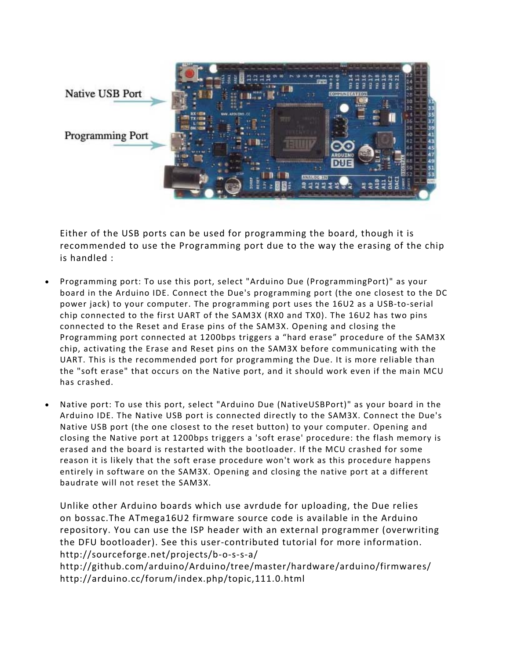

Either of the USB ports can be used for programming the board, though it is recommended to use the Programming port due to the way the erasing of the chip is handled :

- Programming port: To use this port, select "Arduino Due (ProgrammingPort)" as your board in the Arduino IDE. Connect the Due's programming port (the one closest to the DC power jack) to your computer. The programming port uses the 16U2 as a USB‐to‐serial chip connected to the first UART of the SAM3X (RX0 and TX0). The 16U2 has two pins connected to the Reset and Erase pins of the SAM3X. Opening and closing the Programming port connected at 1200bps triggers a "hard erase" procedure of the SAM3X chip, activating the Erase and Reset pins on the SAM3X before communicating with the UART. This is the recommended port for programming the Due. It is more reliable than the "soft erase" that occurs on the Native port, and it should work even if the main MCU has crashed.
- Native port: To use this port, select "Arduino Due (NativeUSBPort)" as your board in the Arduino IDE. The Native USB port is connected directly to the SAM3X. Connect the Due's Native USB port (the one closest to the reset button) to your computer. Opening and closing the Native port at 1200bps triggers a 'soft erase' procedure: the flash memory is erased and the board is restarted with the bootloader. If the MCU crashed for some reason it is likely that the soft erase procedure won't work as this procedure happens entirely in software on the SAM3X. Opening and closing the native port at a different baudrate will not reset the SAM3X.

Unlike other Arduino boards which use avrdude for uploading, the Due relies on bossac.The ATmega16U2 firmware source code is available in the Arduino repository. You can use the ISP header with an external programmer (overwriting the DFU bootloader). See this user‐contributed tutorial for more information. http://sourceforge.net/projects/b‐o‐s‐s‐a/

http://github.com/arduino/Arduino/tree/master/hardware/arduino/firmwares/ http://arduino.cc/forum/index.php/topic,111.0.html